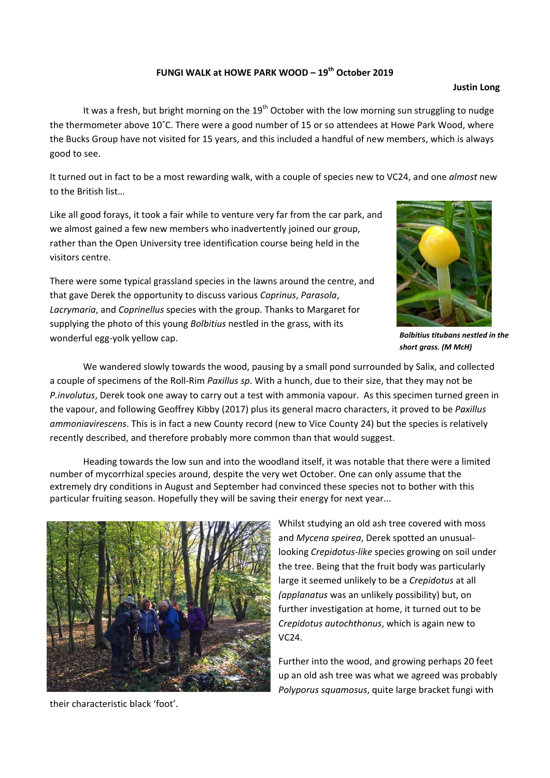## **FUNGI WALK at HOWE PARK WOOD – 19th October 2019**

## **Justin Long**

It was a fresh, but bright morning on the  $19<sup>th</sup>$  October with the low morning sun struggling to nudge the thermometer above 10˚C. There were a good number of 15 or so attendees at Howe Park Wood, where the Bucks Group have not visited for 15 years, and this included a handful of new members, which is always good to see.

It turned out in fact to be a most rewarding walk, with a couple of species new to VC24, and one *almost* new to the British list…

Like all good forays, it took a fair while to venture very far from the car park, and we almost gained a few new members who inadvertently joined our group, rather than the Open University tree identification course being held in the visitors centre.

There were some typical grassland species in the lawns around the centre, and that gave Derek the opportunity to discuss various *Coprinus*, *Parasola*, *Lacrymaria*, and *Coprinellus* species with the group. Thanks to Margaret for supplying the photo of this young *Bolbitius* nestled in the grass, with its wonderful egg‐yolk yellow cap. 



*Bolbitius titubans nestled in the short grass. (M McH)* 

We wandered slowly towards the wood, pausing by a small pond surrounded by Salix, and collected a couple of specimens of the Roll‐Rim *Paxillus sp*. With a hunch, due to their size, that they may not be *P.involutus*, Derek took one away to carry out a test with ammonia vapour. As this specimen turned green in the vapour, and following Geoffrey Kibby (2017) plus its general macro characters, it proved to be *Paxillus ammoniavirescens*. This is in fact a new County record (new to Vice County 24) but the species is relatively recently described, and therefore probably more common than that would suggest.

Heading towards the low sun and into the woodland itself, it was notable that there were a limited number of mycorrhizal species around, despite the very wet October. One can only assume that the extremely dry conditions in August and September had convinced these species not to bother with this particular fruiting season. Hopefully they will be saving their energy for next year...



Whilst studying an old ash tree covered with moss and *Mycena speirea*, Derek spotted an unusual‐ looking *Crepidotus‐like* species growing on soil under the tree. Being that the fruit body was particularly large it seemed unlikely to be a *Crepidotus* at all *(applanatus* was an unlikely possibility) but, on further investigation at home, it turned out to be *Crepidotus autochthonus*, which is again new to VC24.

Further into the wood, and growing perhaps 20 feet up an old ash tree was what we agreed was probably *Polyporus squamosus*, quite large bracket fungi with

their characteristic black 'foot'.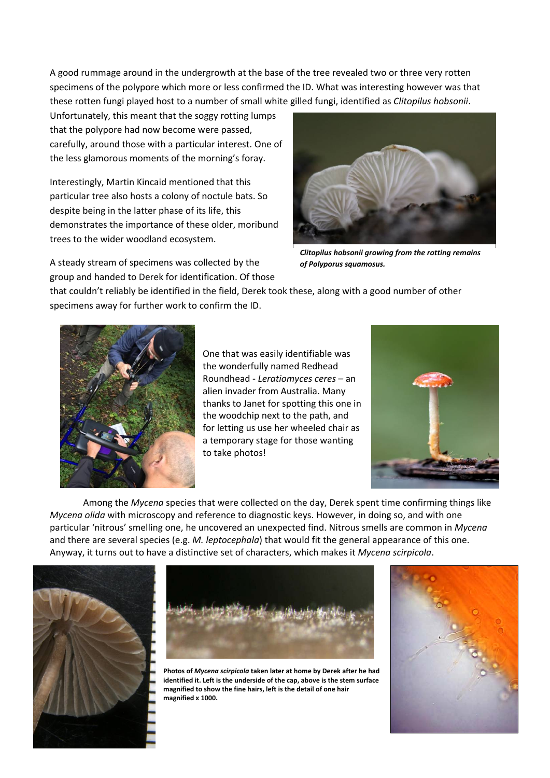A good rummage around in the undergrowth at the base of the tree revealed two or three very rotten specimens of the polypore which more or less confirmed the ID. What was interesting however was that these rotten fungi played host to a number of small white gilled fungi, identified as *Clitopilus hobsonii*.

Unfortunately, this meant that the soggy rotting lumps that the polypore had now become were passed, carefully, around those with a particular interest. One of the less glamorous moments of the morning's foray.

Interestingly, Martin Kincaid mentioned that this particular tree also hosts a colony of noctule bats. So despite being in the latter phase of its life, this demonstrates the importance of these older, moribund trees to the wider woodland ecosystem.

A steady stream of specimens was collected by the group and handed to Derek for identification. Of those



*Clitopilus hobsonii growing from the rotting remains of Polyporus squamosus.*

that couldn't reliably be identified in the field, Derek took these, along with a good number of other specimens away for further work to confirm the ID.



One that was easily identifiable was the wonderfully named Redhead Roundhead ‐ *Leratiomyces ceres –* an alien invader from Australia. Many thanks to Janet for spotting this one in the woodchip next to the path, and for letting us use her wheeled chair as a temporary stage for those wanting to take photos!



Among the *Mycena* species that were collected on the day, Derek spent time confirming things like *Mycena olida* with microscopy and reference to diagnostic keys. However, in doing so, and with one particular 'nitrous' smelling one, he uncovered an unexpected find. Nitrous smells are common in *Mycena* and there are several species (e.g. *M. leptocephala*) that would fit the general appearance of this one. Anyway, it turns out to have a distinctive set of characters, which makes it *Mycena scirpicola*.





**Photos of** *Mycena scirpicola* **taken later at home by Derek after he had identified it. Left is the underside of the cap, above is the stem surface magnified to show the fine hairs, left is the detail of one hair magnified x 1000.** 

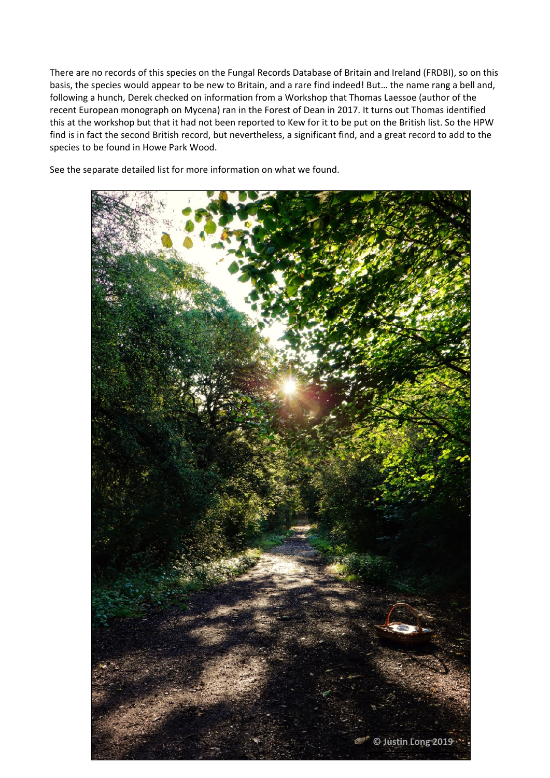There are no records of this species on the Fungal Records Database of Britain and Ireland (FRDBI), so on this basis, the species would appear to be new to Britain, and a rare find indeed! But… the name rang a bell and, following a hunch, Derek checked on information from a Workshop that Thomas Laessoe (author of the recent European monograph on Mycena) ran in the Forest of Dean in 2017. It turns out Thomas identified this at the workshop but that it had not been reported to Kew for it to be put on the British list. So the HPW find is in fact the second British record, but nevertheless, a significant find, and a great record to add to the species to be found in Howe Park Wood.

See the separate detailed list for more information on what we found.